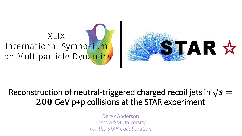# XIIX International Symposium on Multiparticle Dynamics



#### Reconstruction of neutral-triggered charged recoil jets in  $\sqrt{s} =$ 200 GeV p+p collisions at the STAR experiment

Derek Anderson Texas A&M University *For the STAR Collaboration*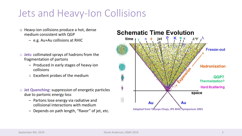## Jets and Heavy-Ion Collisions

- o Heavy-ion collisions produce a hot, dense medium consistent with QGP
	- ‒ e.g. Au+Au collisions at RHIC
- o **Jets:** collimated sprays of hadrons from the fragmentation of partons
	- ‒ Produced in early stages of heavy-ion collisions
	- ∴ Excellent probes of the medium
- o **Jet Quenching:** suppression of energetic particles due to partonic energy loss
	- ‒ Partons lose energy via radiative and collisional interactions with medium
	- ‒ Depends on path length, "flavor" of jet, etc.



Au

**Adapted from Tatsuya Chujo, JPS RHIC Symposium 2001**

space

Au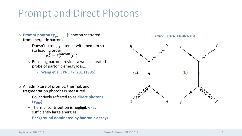## Prompt and Direct Photons

- **Prompt photon (** $\gamma_{prompt}$ ): photon scattered from energetic partons
	- ‒ Doesn't strongly interact with medium so (to leading order)
		- $E^{\widetilde{\gamma}}_T \approx E^{parton}_T(t_0$
	- ∴ Recoiling parton provides a well-calibrated probe of partonic energy loss…
		- › Wang et al.; PRL 77, 231 (1996)
- o An admixture of prompt, thermal, and fragmentation photons is measured
	- ‒ Collectively referred to as **direct photons**   $(\gamma_{dir})$
	- ‒ Thermal contribution is negligible (at sufficiently large energies)
	- ‒ **Background dominated by hadronic decays**



**Campbell; PRC 92, 014907 (2015)**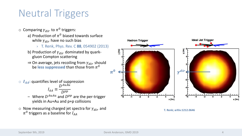# Neutral Triggers

- $\circ$  Comparing  $\gamma_{dir}$  to  $\pi^0$  triggers:
	- a) Production of  $\pi^0$  biased towards surface while  $\gamma_{dir}$  have no such bias
		- › T. Renk, Phys. Rev. C **88**, 054902 (2013)
	- b) Production of  $\gamma_{dir}$  dominated by quarkgluon Compton scattering
	- $\Rightarrow$  On average, jets recoiling from  $\gamma_{dir}$  should be less suppressed than those from  $\pi^0$
- $\circ$   $I_{AA}$ : quantifies level of suppression D<sup>AuAu</sup>
	- $I_{AA}$  $D^{pp}$
	- Where  $D^{AuAu}$  and  $D^{pp}$  are the per-trigger yields in Au+Au and p+p collisions
- $\circ$  Now measuring charged jet spectra for  $\gamma_{dir}$  and  $\pi^0$  triggers as a baseline for  $I_{AA}$



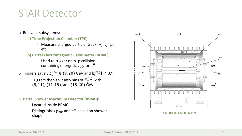## STAR Detector

- o Relevant subsystems:
	- **a) Time Projection Chamber (TPC):**
		- $\rightarrow$  Measure charged particle (track)  $p_T$ ,  $\eta$ ,  $\varphi$ , etc.
	- **b) Barrel Electromagnetic Calorimeter (BEMC):**
		- › Used to trigger on p+p collision containing energetic  $\gamma_{dir}$  or  $\pi^0$
- $\circ$  Triggers satisfy  $E_T^{trg} \in (9, 20)$  GeV and  $|\eta^{trg}| < 0.9$ 
	- Triggers then split into bins of  $E_T^{trg}$  with  $(9, 11)$ ,  $(11, 15)$ , and  $(15, 20)$  GeV
- o **Barrel Shower Maximum Detector (BSMD):**
	- ‒ Located inside BEMC
	- Distinguishes  $\gamma_{dir}$  and  $\pi^0$  based on shower shape



**STAR; PRD 86, 032006 (2012)**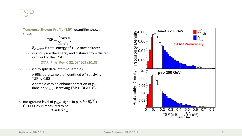### TSP

o **Transverse Shower Profile (TSP):** quantifies shower shape

$$
TSP \equiv \frac{E_{cluster}}{\sum_i e_i r_i^{1.5}}
$$

- $E_{cluster}$  is total energy of 1 2 tower cluster
- $-e_i$  and  $r_i$  are the energy and distance from cluster centroid of the i<sup>th</sup> strip
	- › STAR, Phys. Rev. C **82**, 034909 (2010)
- o TSP used to split data into two samples:
	- i. A 95% pure sample of identified  $\pi^0$  satisfying  $TSP < 0.08$
	- ii. A sample with an enhanced fraction of  $\gamma_{dir}$ (labeled  $\gamma_{rich}$ ) satisfying TSP  $\in$  (0.2, 0.6)
- o Background level of  $\gamma_{rich}$  signal in p+p for  $E_T^{trg} \in$  $(9,11)$  GeV is measured to be:  $B \approx 0.57 + 0.05$

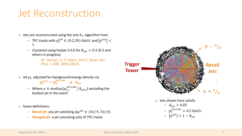## Jet Reconstruction

- $\circ$  Jets are reconstructed using the anti- $k<sub>T</sub>$  algorithm from
	- $-$  TPC tracks with  $p_T^{trk} \in (0.2{,}30)$  GeV/ $c$  and  $\left|\eta^{trk}\right| <$ 1
	- Clustered using Fastjet 3.0.6 for  $R_{jet} = 0.2$  (0.5 and others in progress)
		- › M. Cacciari, G. P. Salam, and G. Soyez, Eur. Phys. J. **C72**, 1896 (2012)
- $\circ$  Jet  $p_T$  adjusted for background energy density via  $p_T^{reco} = p_T^{jet, raw} - \rho \cdot A_{jet}$ 
	- − Where  $ρ ≡ median{p_{T,i}^{jet,raw}/A_{jet,i}}$ } excluding the hardest jet in the event
- o Some definitions:
	- $-$  **Recoil jet:** any jet satisfying  $\Delta \varphi^{jet} \in (3\pi/4, 5\pi/4)$
	- ‒ **Charged jet:** a jet consisting only of TPC tracks

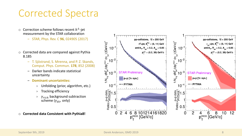## Corrected Spectra

- $\circ~$  Correction scheme follows recent  $h^\pm$ -jet measurement by the STAR collaboration
	- ‒ STAR, Phys. Rev. C **96**, 024905 (2017)
- o Corrected data are compared against Pythia 8.185
	- ‒ T. Sjöstrand, S. Mrenna, and P. Z. Skands, Comput. Phys. Commun. **178**, 852 (2008)
	- ‒ Darker bands indicate statistical uncertainty
	- ‒ **Dominant uncertainties:**
		- › Unfolding (prior, algorithm, etc.)
		- › Tracking efficiency
		- $\gamma$   $\gamma$ <sub>rich</sub> background subtraction scheme ( $\gamma_{dir}$  only)

o **Corrected data Consistent with Pythia8!**

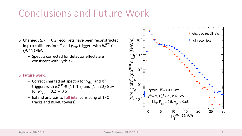## Conclusions and Future Work

- $\circ$  Charged  $R_{jet} = 0.2$  recoil jets have been reconstructed in p+p collisions for  $\pi^0$  and  $\gamma_{dir}$  triggers with  $E_T^{trg} \in$  $(9, 11)$  GeV
	- ‒ Spectra corrected for detector effects are consistent with Pythia 8

#### o **Future work:**

- Correct charged jet spectra for  $\gamma_{dir}$  and  $\pi^0$ triggers with  $E_T^{trg} \in (11, 15)$  and  $(15, 20)$  GeV for  $R_{jet} = 0.2 - 0.5$
- ‒ Extend analysis to **full jets** (consisting of TPC tracks and BEMC towers)